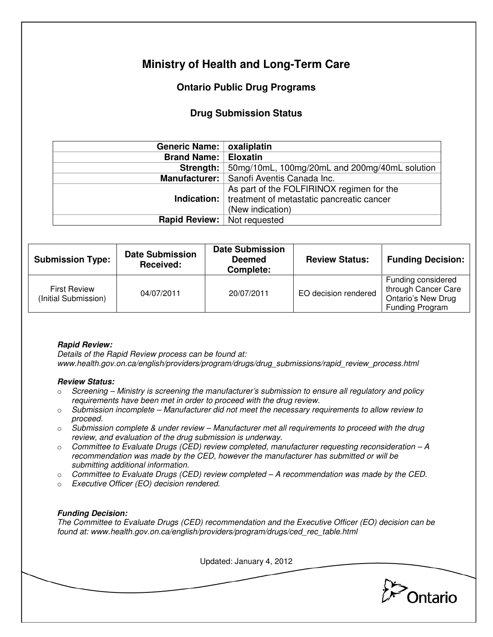# **Ministry of Health and Long-Term Care**

## **Ontario Public Drug Programs**

### **Drug Submission Status**

| Generic Name:   oxaliplatin                                    |  |  |
|----------------------------------------------------------------|--|--|
| <b>Brand Name:</b><br><b>Eloxatin</b>                          |  |  |
| Strength: $ $<br>50mg/10mL, 100mg/20mL and 200mg/40mL solution |  |  |
| Manufacturer:   Sanofi Aventis Canada Inc.                     |  |  |
| As part of the FOLFIRINOX regimen for the                      |  |  |
| Indication:   treatment of metastatic pancreatic cancer        |  |  |
| (New indication)                                               |  |  |
| <b>Rapid Review:</b> Not requested                             |  |  |
|                                                                |  |  |

| <b>Submission Type:</b>                     | <b>Date Submission</b><br>Received: | <b>Date Submission</b><br><b>Deemed</b><br>Complete: | <b>Review Status:</b> | <b>Funding Decision:</b>                                                                  |
|---------------------------------------------|-------------------------------------|------------------------------------------------------|-----------------------|-------------------------------------------------------------------------------------------|
| <b>First Review</b><br>(Initial Submission) | 04/07/2011                          | 20/07/2011                                           | EO decision rendered  | Funding considered<br>through Cancer Care<br><b>Ontario's New Drug</b><br>Funding Program |

#### **Rapid Review:**

Details of the Rapid Review process can be found at: www.health.gov.on.ca/english/providers/program/drugs/drug\_submissions/rapid\_review\_process.html

#### **Review Status:**

- $\circ$  Screening Ministry is screening the manufacturer's submission to ensure all regulatory and policy requirements have been met in order to proceed with the drug review.
- $\circ$  Submission incomplete Manufacturer did not meet the necessary requirements to allow review to proceed.
- $\circ$  Submission complete & under review Manufacturer met all requirements to proceed with the drug review, and evaluation of the drug submission is underway.
- $\circ$  Committee to Evaluate Drugs (CED) review completed, manufacturer requesting reconsideration A recommendation was made by the CED, however the manufacturer has submitted or will be submitting additional information.
- $\circ$  Committee to Evaluate Drugs (CED) review completed  $-A$  recommendation was made by the CED.
- o Executive Officer (EO) decision rendered.

#### **Funding Decision:**

The Committee to Evaluate Drugs (CED) recommendation and the Executive Officer (EO) decision can be found at: www.health.gov.on.ca/english/providers/program/drugs/ced\_rec\_table.html

Updated: January 4, 2012